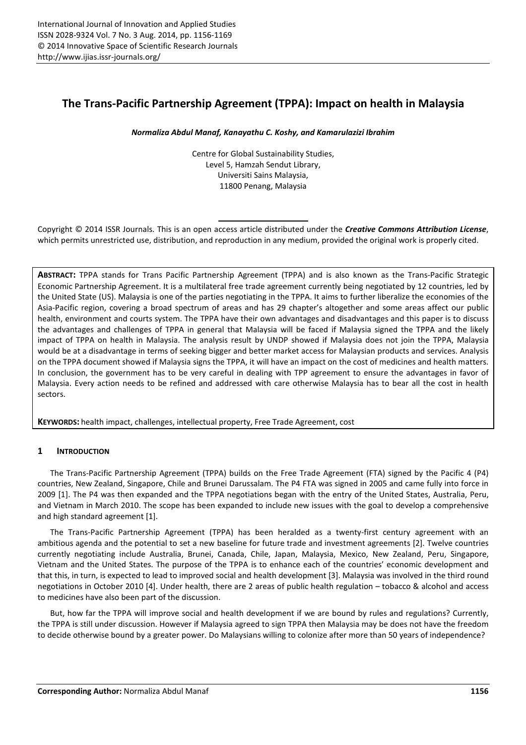# **The Trans-Pacific Partnership Agreement (TPPA): Impact on health in Malaysia**

## *Normaliza Abdul Manaf, Kanayathu C. Koshy, and Kamarulazizi Ibrahim*

Centre for Global Sustainability Studies, Level 5, Hamzah Sendut Library, Universiti Sains Malaysia, 11800 Penang, Malaysia

Copyright © 2014 ISSR Journals. This is an open access article distributed under the *Creative Commons Attribution License*, which permits unrestricted use, distribution, and reproduction in any medium, provided the original work is properly cited.

**ABSTRACT:** TPPA stands for Trans Pacific Partnership Agreement (TPPA) and is also known as the Trans-Pacific Strategic Economic Partnership Agreement. It is a multilateral free trade agreement currently being negotiated by 12 countries, led by the United State (US). Malaysia is one of the parties negotiating in the TPPA. It aims to further liberalize the economies of the Asia-Pacific region, covering a broad spectrum of areas and has 29 chapter's altogether and some areas affect our public health, environment and courts system. The TPPA have their own advantages and disadvantages and this paper is to discuss the advantages and challenges of TPPA in general that Malaysia will be faced if Malaysia signed the TPPA and the likely impact of TPPA on health in Malaysia. The analysis result by UNDP showed if Malaysia does not join the TPPA, Malaysia would be at a disadvantage in terms of seeking bigger and better market access for Malaysian products and services. Analysis on the TPPA document showed if Malaysia signs the TPPA, it will have an impact on the cost of medicines and health matters. In conclusion, the government has to be very careful in dealing with TPP agreement to ensure the advantages in favor of Malaysia. Every action needs to be refined and addressed with care otherwise Malaysia has to bear all the cost in health sectors.

**KEYWORDS:** health impact, challenges, intellectual property, Free Trade Agreement, cost

# **1 INTRODUCTION**

The Trans-Pacific Partnership Agreement (TPPA) builds on the Free Trade Agreement (FTA) signed by the Pacific 4 (P4) countries, New Zealand, Singapore, Chile and Brunei Darussalam. The P4 FTA was signed in 2005 and came fully into force in 2009 [1]. The P4 was then expanded and the TPPA negotiations began with the entry of the United States, Australia, Peru, and Vietnam in March 2010. The scope has been expanded to include new issues with the goal to develop a comprehensive and high standard agreement [1].

The Trans-Pacific Partnership Agreement (TPPA) has been heralded as a twenty-first century agreement with an ambitious agenda and the potential to set a new baseline for future trade and investment agreements [2]. Twelve countries currently negotiating include Australia, Brunei, Canada, Chile, Japan, Malaysia, Mexico, New Zealand, Peru, Singapore, Vietnam and the United States. The purpose of the TPPA is to enhance each of the countries' economic development and that this, in turn, is expected to lead to improved social and health development [3]. Malaysia was involved in the third round negotiations in October 2010 [4]. Under health, there are 2 areas of public health regulation – tobacco & alcohol and access to medicines have also been part of the discussion.

But, how far the TPPA will improve social and health development if we are bound by rules and regulations? Currently, the TPPA is still under discussion. However if Malaysia agreed to sign TPPA then Malaysia may be does not have the freedom to decide otherwise bound by a greater power. Do Malaysians willing to colonize after more than 50 years of independence?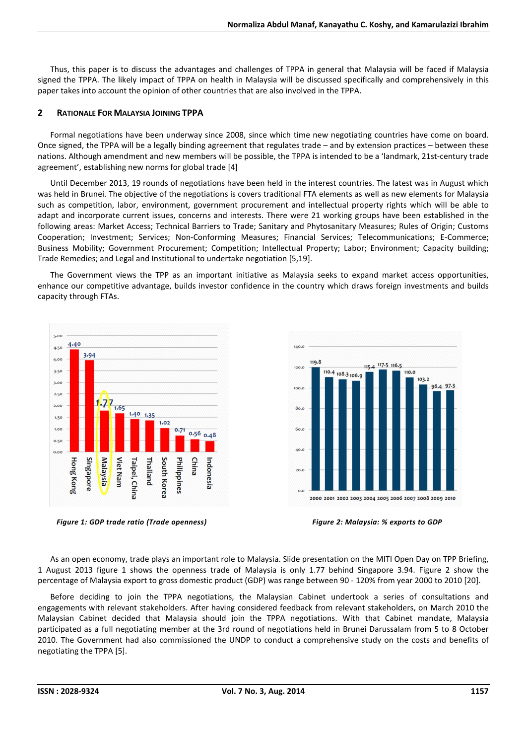Thus, this paper is to discuss the advantages and challenges of TPPA in general that Malaysia will be faced if Malaysia signed the TPPA. The likely impact of TPPA on health in Malaysia will be discussed specifically and comprehensively in this paper takes into account the opinion of other countries that are also involved in the TPPA.

#### **2 RATIONALE FOR MALAYSIA JOINING TPPA**

Formal negotiations have been underway since 2008, since which time new negotiating countries have come on board. Once signed, the TPPA will be a legally binding agreement that regulates trade – and by extension practices – between these nations. Although amendment and new members will be possible, the TPPA is intended to be a 'landmark, 21st-century trade agreement', establishing new norms for global trade [4]

Until December 2013, 19 rounds of negotiations have been held in the interest countries. The latest was in August which was held in Brunei. The objective of the negotiations is covers traditional FTA elements as well as new elements for Malaysia such as competition, labor, environment, government procurement and intellectual property rights which will be able to adapt and incorporate current issues, concerns and interests. There were 21 working groups have been established in the following areas: Market Access; Technical Barriers to Trade; Sanitary and Phytosanitary Measures; Rules of Origin; Customs Cooperation; Investment; Services; Non-Conforming Measures; Financial Services; Telecommunications; E-Commerce; Business Mobility; Government Procurement; Competition; Intellectual Property; Labor; Environment; Capacity building; Trade Remedies; and Legal and Institutional to undertake negotiation [5,19].

The Government views the TPP as an important initiative as Malaysia seeks to expand market access opportunities, enhance our competitive advantage, builds investor confidence in the country which draws foreign investments and builds capacity through FTAs.



*Figure 1: GDP trade ratio (Trade openness) Figure 2: Malaysia: % exports to GDP* 

As an open economy, trade plays an important role to Malaysia. Slide presentation on the MITI Open Day on TPP Briefing, 1 August 2013 figure 1 shows the openness trade of Malaysia is only 1.77 behind Singapore 3.94. Figure 2 show the percentage of Malaysia export to gross domestic product (GDP) was range between 90 - 120% from year 2000 to 2010 [20].

Before deciding to join the TPPA negotiations, the Malaysian Cabinet undertook a series of consultations and engagements with relevant stakeholders. After having considered feedback from relevant stakeholders, on March 2010 the Malaysian Cabinet decided that Malaysia should join the TPPA negotiations. With that Cabinet mandate, Malaysia participated as a full negotiating member at the 3rd round of negotiations held in Brunei Darussalam from 5 to 8 October 2010. The Government had also commissioned the UNDP to conduct a comprehensive study on the costs and benefits of negotiating the TPPA [5].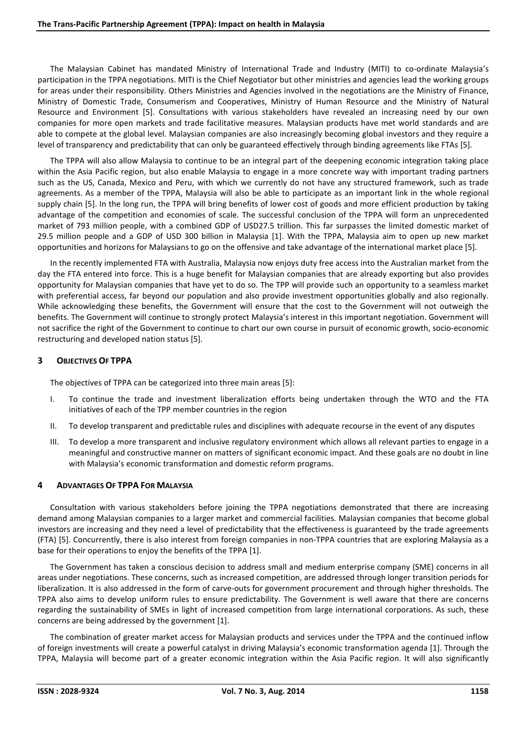The Malaysian Cabinet has mandated Ministry of International Trade and Industry (MITI) to co-ordinate Malaysia's participation in the TPPA negotiations. MITI is the Chief Negotiator but other ministries and agencies lead the working groups for areas under their responsibility. Others Ministries and Agencies involved in the negotiations are the Ministry of Finance, Ministry of Domestic Trade, Consumerism and Cooperatives, Ministry of Human Resource and the Ministry of Natural Resource and Environment [5]. Consultations with various stakeholders have revealed an increasing need by our own companies for more open markets and trade facilitative measures. Malaysian products have met world standards and are able to compete at the global level. Malaysian companies are also increasingly becoming global investors and they require a level of transparency and predictability that can only be guaranteed effectively through binding agreements like FTAs [5].

The TPPA will also allow Malaysia to continue to be an integral part of the deepening economic integration taking place within the Asia Pacific region, but also enable Malaysia to engage in a more concrete way with important trading partners such as the US, Canada, Mexico and Peru, with which we currently do not have any structured framework, such as trade agreements. As a member of the TPPA, Malaysia will also be able to participate as an important link in the whole regional supply chain [5]. In the long run, the TPPA will bring benefits of lower cost of goods and more efficient production by taking advantage of the competition and economies of scale. The successful conclusion of the TPPA will form an unprecedented market of 793 million people, with a combined GDP of USD27.5 trillion. This far surpasses the limited domestic market of 29.5 million people and a GDP of USD 300 billion in Malaysia [1]. With the TPPA, Malaysia aim to open up new market opportunities and horizons for Malaysians to go on the offensive and take advantage of the international market place [5].

In the recently implemented FTA with Australia, Malaysia now enjoys duty free access into the Australian market from the day the FTA entered into force. This is a huge benefit for Malaysian companies that are already exporting but also provides opportunity for Malaysian companies that have yet to do so. The TPP will provide such an opportunity to a seamless market with preferential access, far beyond our population and also provide investment opportunities globally and also regionally. While acknowledging these benefits, the Government will ensure that the cost to the Government will not outweigh the benefits. The Government will continue to strongly protect Malaysia's interest in this important negotiation. Government will not sacrifice the right of the Government to continue to chart our own course in pursuit of economic growth, socio-economic restructuring and developed nation status [5].

# **3 OBJECTIVES OF TPPA**

The objectives of TPPA can be categorized into three main areas [5]:

- I. To continue the trade and investment liberalization efforts being undertaken through the WTO and the FTA initiatives of each of the TPP member countries in the region
- II. To develop transparent and predictable rules and disciplines with adequate recourse in the event of any disputes
- III. To develop a more transparent and inclusive regulatory environment which allows all relevant parties to engage in a meaningful and constructive manner on matters of significant economic impact. And these goals are no doubt in line with Malaysia's economic transformation and domestic reform programs.

# **4 ADVANTAGES OF TPPA FOR MALAYSIA**

Consultation with various stakeholders before joining the TPPA negotiations demonstrated that there are increasing demand among Malaysian companies to a larger market and commercial facilities. Malaysian companies that become global investors are increasing and they need a level of predictability that the effectiveness is guaranteed by the trade agreements (FTA) [5]. Concurrently, there is also interest from foreign companies in non-TPPA countries that are exploring Malaysia as a base for their operations to enjoy the benefits of the TPPA [1].

The Government has taken a conscious decision to address small and medium enterprise company (SME) concerns in all areas under negotiations. These concerns, such as increased competition, are addressed through longer transition periods for liberalization. It is also addressed in the form of carve-outs for government procurement and through higher thresholds. The TPPA also aims to develop uniform rules to ensure predictability. The Government is well aware that there are concerns regarding the sustainability of SMEs in light of increased competition from large international corporations. As such, these concerns are being addressed by the government [1].

The combination of greater market access for Malaysian products and services under the TPPA and the continued inflow of foreign investments will create a powerful catalyst in driving Malaysia's economic transformation agenda [1]. Through the TPPA, Malaysia will become part of a greater economic integration within the Asia Pacific region. It will also significantly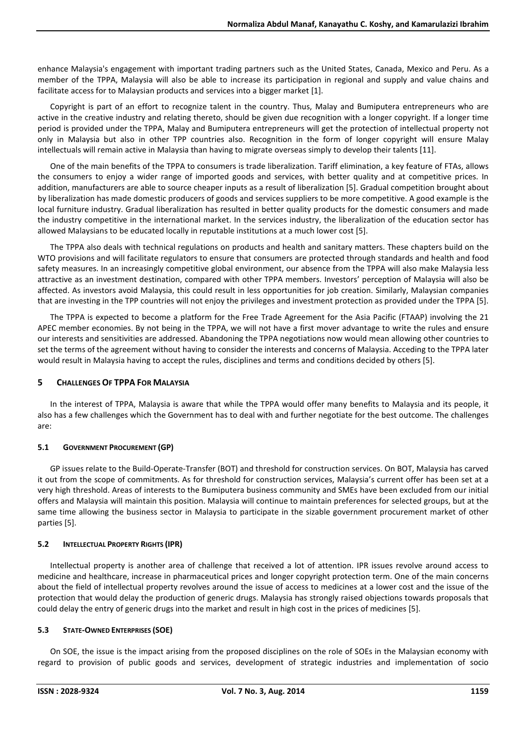enhance Malaysia's engagement with important trading partners such as the United States, Canada, Mexico and Peru. As a member of the TPPA, Malaysia will also be able to increase its participation in regional and supply and value chains and facilitate access for to Malaysian products and services into a bigger market [1].

Copyright is part of an effort to recognize talent in the country. Thus, Malay and Bumiputera entrepreneurs who are active in the creative industry and relating thereto, should be given due recognition with a longer copyright. If a longer time period is provided under the TPPA, Malay and Bumiputera entrepreneurs will get the protection of intellectual property not only in Malaysia but also in other TPP countries also. Recognition in the form of longer copyright will ensure Malay intellectuals will remain active in Malaysia than having to migrate overseas simply to develop their talents [11].

One of the main benefits of the TPPA to consumers is trade liberalization. Tariff elimination, a key feature of FTAs, allows the consumers to enjoy a wider range of imported goods and services, with better quality and at competitive prices. In addition, manufacturers are able to source cheaper inputs as a result of liberalization [5]. Gradual competition brought about by liberalization has made domestic producers of goods and services suppliers to be more competitive. A good example is the local furniture industry. Gradual liberalization has resulted in better quality products for the domestic consumers and made the industry competitive in the international market. In the services industry, the liberalization of the education sector has allowed Malaysians to be educated locally in reputable institutions at a much lower cost [5].

The TPPA also deals with technical regulations on products and health and sanitary matters. These chapters build on the WTO provisions and will facilitate regulators to ensure that consumers are protected through standards and health and food safety measures. In an increasingly competitive global environment, our absence from the TPPA will also make Malaysia less attractive as an investment destination, compared with other TPPA members. Investors' perception of Malaysia will also be affected. As investors avoid Malaysia, this could result in less opportunities for job creation. Similarly, Malaysian companies that are investing in the TPP countries will not enjoy the privileges and investment protection as provided under the TPPA [5].

The TPPA is expected to become a platform for the Free Trade Agreement for the Asia Pacific (FTAAP) involving the 21 APEC member economies. By not being in the TPPA, we will not have a first mover advantage to write the rules and ensure our interests and sensitivities are addressed. Abandoning the TPPA negotiations now would mean allowing other countries to set the terms of the agreement without having to consider the interests and concerns of Malaysia. Acceding to the TPPA later would result in Malaysia having to accept the rules, disciplines and terms and conditions decided by others [5].

# **5 CHALLENGES OF TPPA FOR MALAYSIA**

In the interest of TPPA, Malaysia is aware that while the TPPA would offer many benefits to Malaysia and its people, it also has a few challenges which the Government has to deal with and further negotiate for the best outcome. The challenges are:

# **5.1 GOVERNMENT PROCUREMENT (GP)**

GP issues relate to the Build-Operate-Transfer (BOT) and threshold for construction services. On BOT, Malaysia has carved it out from the scope of commitments. As for threshold for construction services, Malaysia's current offer has been set at a very high threshold. Areas of interests to the Bumiputera business community and SMEs have been excluded from our initial offers and Malaysia will maintain this position. Malaysia will continue to maintain preferences for selected groups, but at the same time allowing the business sector in Malaysia to participate in the sizable government procurement market of other parties [5].

# **5.2 INTELLECTUAL PROPERTY RIGHTS (IPR)**

Intellectual property is another area of challenge that received a lot of attention. IPR issues revolve around access to medicine and healthcare, increase in pharmaceutical prices and longer copyright protection term. One of the main concerns about the field of intellectual property revolves around the issue of access to medicines at a lower cost and the issue of the protection that would delay the production of generic drugs. Malaysia has strongly raised objections towards proposals that could delay the entry of generic drugs into the market and result in high cost in the prices of medicines [5].

# **5.3 STATE-OWNED ENTERPRISES (SOE)**

On SOE, the issue is the impact arising from the proposed disciplines on the role of SOEs in the Malaysian economy with regard to provision of public goods and services, development of strategic industries and implementation of socio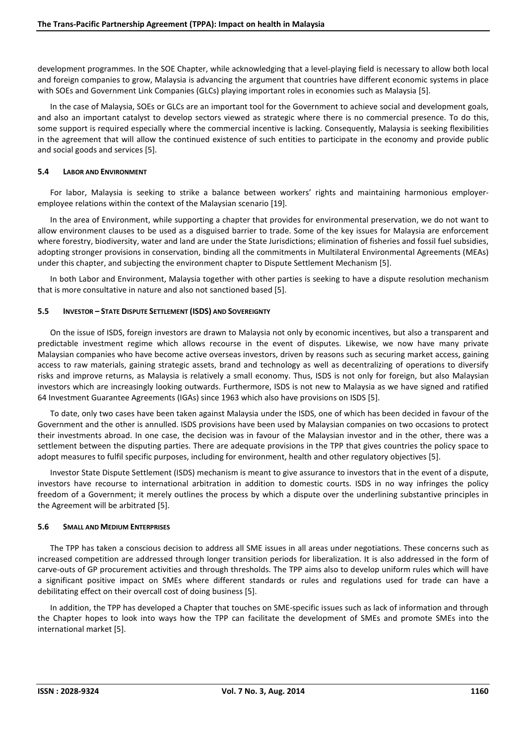development programmes. In the SOE Chapter, while acknowledging that a level-playing field is necessary to allow both local and foreign companies to grow, Malaysia is advancing the argument that countries have different economic systems in place with SOEs and Government Link Companies (GLCs) playing important roles in economies such as Malaysia [5].

In the case of Malaysia, SOEs or GLCs are an important tool for the Government to achieve social and development goals, and also an important catalyst to develop sectors viewed as strategic where there is no commercial presence. To do this, some support is required especially where the commercial incentive is lacking. Consequently, Malaysia is seeking flexibilities in the agreement that will allow the continued existence of such entities to participate in the economy and provide public and social goods and services [5].

#### **5.4 LABOR AND ENVIRONMENT**

For labor, Malaysia is seeking to strike a balance between workers' rights and maintaining harmonious employeremployee relations within the context of the Malaysian scenario [19].

In the area of Environment, while supporting a chapter that provides for environmental preservation, we do not want to allow environment clauses to be used as a disguised barrier to trade. Some of the key issues for Malaysia are enforcement where forestry, biodiversity, water and land are under the State Jurisdictions; elimination of fisheries and fossil fuel subsidies, adopting stronger provisions in conservation, binding all the commitments in Multilateral Environmental Agreements (MEAs) under this chapter, and subjecting the environment chapter to Dispute Settlement Mechanism [5].

In both Labor and Environment, Malaysia together with other parties is seeking to have a dispute resolution mechanism that is more consultative in nature and also not sanctioned based [5].

#### **5.5 INVESTOR – STATE DISPUTE SETTLEMENT (ISDS) AND SOVEREIGNTY**

On the issue of ISDS, foreign investors are drawn to Malaysia not only by economic incentives, but also a transparent and predictable investment regime which allows recourse in the event of disputes. Likewise, we now have many private Malaysian companies who have become active overseas investors, driven by reasons such as securing market access, gaining access to raw materials, gaining strategic assets, brand and technology as well as decentralizing of operations to diversify risks and improve returns, as Malaysia is relatively a small economy. Thus, ISDS is not only for foreign, but also Malaysian investors which are increasingly looking outwards. Furthermore, ISDS is not new to Malaysia as we have signed and ratified 64 Investment Guarantee Agreements (IGAs) since 1963 which also have provisions on ISDS [5].

To date, only two cases have been taken against Malaysia under the ISDS, one of which has been decided in favour of the Government and the other is annulled. ISDS provisions have been used by Malaysian companies on two occasions to protect their investments abroad. In one case, the decision was in favour of the Malaysian investor and in the other, there was a settlement between the disputing parties. There are adequate provisions in the TPP that gives countries the policy space to adopt measures to fulfil specific purposes, including for environment, health and other regulatory objectives [5].

Investor State Dispute Settlement (ISDS) mechanism is meant to give assurance to investors that in the event of a dispute, investors have recourse to international arbitration in addition to domestic courts. ISDS in no way infringes the policy freedom of a Government; it merely outlines the process by which a dispute over the underlining substantive principles in the Agreement will be arbitrated [5].

# **5.6 SMALL AND MEDIUM ENTERPRISES**

The TPP has taken a conscious decision to address all SME issues in all areas under negotiations. These concerns such as increased competition are addressed through longer transition periods for liberalization. It is also addressed in the form of carve-outs of GP procurement activities and through thresholds. The TPP aims also to develop uniform rules which will have a significant positive impact on SMEs where different standards or rules and regulations used for trade can have a debilitating effect on their overcall cost of doing business [5].

In addition, the TPP has developed a Chapter that touches on SME-specific issues such as lack of information and through the Chapter hopes to look into ways how the TPP can facilitate the development of SMEs and promote SMEs into the international market [5].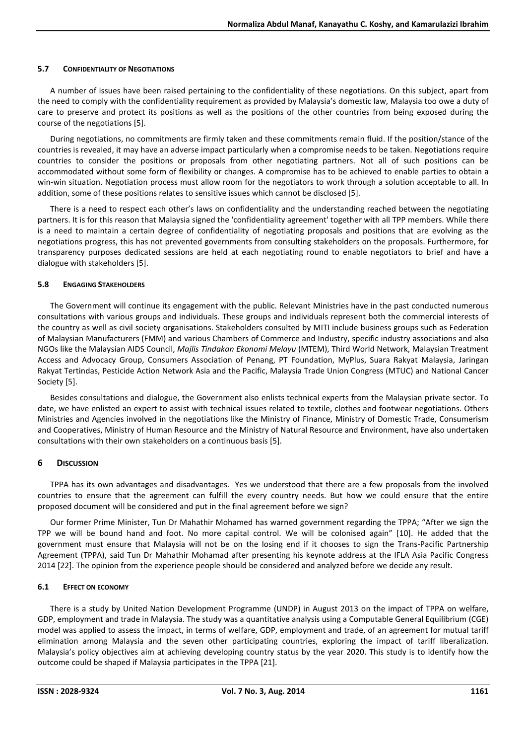## **5.7 CONFIDENTIALITY OF NEGOTIATIONS**

A number of issues have been raised pertaining to the confidentiality of these negotiations. On this subject, apart from the need to comply with the confidentiality requirement as provided by Malaysia's domestic law, Malaysia too owe a duty of care to preserve and protect its positions as well as the positions of the other countries from being exposed during the course of the negotiations [5].

During negotiations, no commitments are firmly taken and these commitments remain fluid. If the position/stance of the countries is revealed, it may have an adverse impact particularly when a compromise needs to be taken. Negotiations require countries to consider the positions or proposals from other negotiating partners. Not all of such positions can be accommodated without some form of flexibility or changes. A compromise has to be achieved to enable parties to obtain a win-win situation. Negotiation process must allow room for the negotiators to work through a solution acceptable to all. In addition, some of these positions relates to sensitive issues which cannot be disclosed [5].

There is a need to respect each other's laws on confidentiality and the understanding reached between the negotiating partners. It is for this reason that Malaysia signed the 'confidentiality agreement' together with all TPP members. While there is a need to maintain a certain degree of confidentiality of negotiating proposals and positions that are evolving as the negotiations progress, this has not prevented governments from consulting stakeholders on the proposals. Furthermore, for transparency purposes dedicated sessions are held at each negotiating round to enable negotiators to brief and have a dialogue with stakeholders [5].

## **5.8 ENGAGING STAKEHOLDERS**

The Government will continue its engagement with the public. Relevant Ministries have in the past conducted numerous consultations with various groups and individuals. These groups and individuals represent both the commercial interests of the country as well as civil society organisations. Stakeholders consulted by MITI include business groups such as Federation of Malaysian Manufacturers (FMM) and various Chambers of Commerce and Industry, specific industry associations and also NGOs like the Malaysian AIDS Council, *Majlis Tindakan Ekonomi Melayu* (MTEM), Third World Network, Malaysian Treatment Access and Advocacy Group, Consumers Association of Penang, PT Foundation, MyPlus, Suara Rakyat Malaysia, Jaringan Rakyat Tertindas, Pesticide Action Network Asia and the Pacific, Malaysia Trade Union Congress (MTUC) and National Cancer Society [5].

Besides consultations and dialogue, the Government also enlists technical experts from the Malaysian private sector. To date, we have enlisted an expert to assist with technical issues related to textile, clothes and footwear negotiations. Others Ministries and Agencies involved in the negotiations like the Ministry of Finance, Ministry of Domestic Trade, Consumerism and Cooperatives, Ministry of Human Resource and the Ministry of Natural Resource and Environment, have also undertaken consultations with their own stakeholders on a continuous basis [5].

# **6 DISCUSSION**

TPPA has its own advantages and disadvantages. Yes we understood that there are a few proposals from the involved countries to ensure that the agreement can fulfill the every country needs. But how we could ensure that the entire proposed document will be considered and put in the final agreement before we sign?

Our former Prime Minister, Tun Dr Mahathir Mohamed has warned government regarding the TPPA; "After we sign the TPP we will be bound hand and foot. No more capital control. We will be colonised again" [10]. He added that the government must ensure that Malaysia will not be on the losing end if it chooses to sign the Trans-Pacific Partnership Agreement (TPPA), said Tun Dr Mahathir Mohamad after presenting his keynote address at the IFLA Asia Pacific Congress 2014 [22]. The opinion from the experience people should be considered and analyzed before we decide any result.

# **6.1 EFFECT ON ECONOMY**

There is a study by United Nation Development Programme (UNDP) in August 2013 on the impact of TPPA on welfare, GDP, employment and trade in Malaysia. The study was a quantitative analysis using a Computable General Equilibrium (CGE) model was applied to assess the impact, in terms of welfare, GDP, employment and trade, of an agreement for mutual tariff elimination among Malaysia and the seven other participating countries, exploring the impact of tariff liberalization. Malaysia's policy objectives aim at achieving developing country status by the year 2020. This study is to identify how the outcome could be shaped if Malaysia participates in the TPPA [21].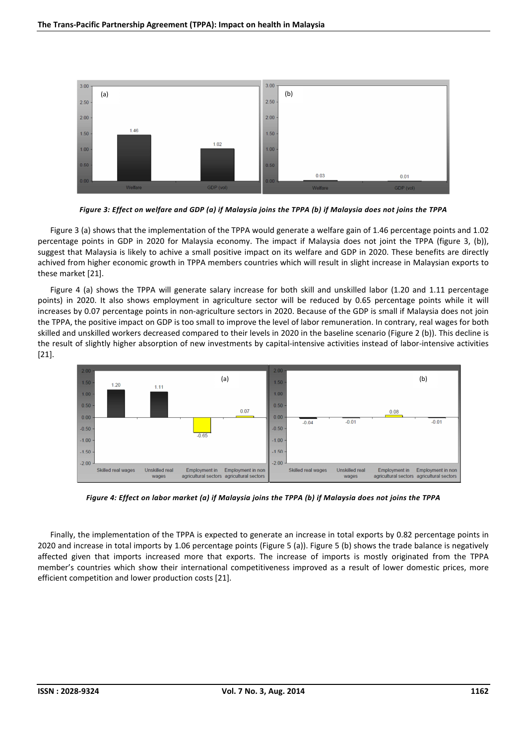

*Figure 3: Effect on welfare and GDP (a) if Malaysia joins the TPPA (b) if Malaysia does not joins the TPPA* 

Figure 3 (a) shows that the implementation of the TPPA would generate a welfare gain of 1.46 percentage points and 1.02 percentage points in GDP in 2020 for Malaysia economy. The impact if Malaysia does not joint the TPPA (figure 3, (b)), suggest that Malaysia is likely to achive a small positive impact on its welfare and GDP in 2020. These benefits are directly achived from higher economic growth in TPPA members countries which will result in slight increase in Malaysian exports to these market [21].

Figure 4 (a) shows the TPPA will generate salary increase for both skill and unskilled labor (1.20 and 1.11 percentage points) in 2020. It also shows employment in agriculture sector will be reduced by 0.65 percentage points while it will increases by 0.07 percentage points in non-agriculture sectors in 2020. Because of the GDP is small if Malaysia does not join the TPPA, the positive impact on GDP is too small to improve the level of labor remuneration. In contrary, real wages for both skilled and unskilled workers decreased compared to their levels in 2020 in the baseline scenario (Figure 2 (b)). This decline is the result of slightly higher absorption of new investments by capital-intensive activities instead of labor-intensive activities [21].



*Figure 4: Effect on labor market (a) if Malaysia joins the TPPA (b) if Malaysia does not joins the TPPA* 

Finally, the implementation of the TPPA is expected to generate an increase in total exports by 0.82 percentage points in 2020 and increase in total imports by 1.06 percentage points (Figure 5 (a)). Figure 5 (b) shows the trade balance is negatively affected given that imports increased more that exports. The increase of imports is mostly originated from the TPPA member's countries which show their international competitiveness improved as a result of lower domestic prices, more efficient competition and lower production costs [21].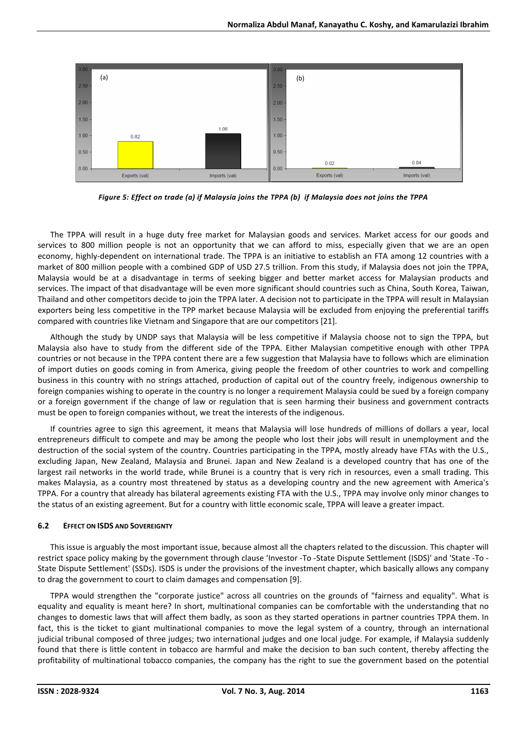

*Figure 5: Effect on trade (a) if Malaysia joins the TPPA (b) if Malaysia does not joins the TPPA* 

The TPPA will result in a huge duty free market for Malaysian goods and services. Market access for our goods and services to 800 million people is not an opportunity that we can afford to miss, especially given that we are an open economy, highly-dependent on international trade. The TPPA is an initiative to establish an FTA among 12 countries with a market of 800 million people with a combined GDP of USD 27.5 trillion. From this study, if Malaysia does not join the TPPA, Malaysia would be at a disadvantage in terms of seeking bigger and better market access for Malaysian products and services. The impact of that disadvantage will be even more significant should countries such as China, South Korea, Taiwan, Thailand and other competitors decide to join the TPPA later. A decision not to participate in the TPPA will result in Malaysian exporters being less competitive in the TPP market because Malaysia will be excluded from enjoying the preferential tariffs compared with countries like Vietnam and Singapore that are our competitors [21].

Although the study by UNDP says that Malaysia will be less competitive if Malaysia choose not to sign the TPPA, but Malaysia also have to study from the different side of the TPPA. Either Malaysian competitive enough with other TPPA countries or not because in the TPPA content there are a few suggestion that Malaysia have to follows which are elimination of import duties on goods coming in from America, giving people the freedom of other countries to work and compelling business in this country with no strings attached, production of capital out of the country freely, indigenous ownership to foreign companies wishing to operate in the country is no longer a requirement Malaysia could be sued by a foreign company or a foreign government if the change of law or regulation that is seen harming their business and government contracts must be open to foreign companies without, we treat the interests of the indigenous.

If countries agree to sign this agreement, it means that Malaysia will lose hundreds of millions of dollars a year, local entrepreneurs difficult to compete and may be among the people who lost their jobs will result in unemployment and the destruction of the social system of the country. Countries participating in the TPPA, mostly already have FTAs with the U.S., excluding Japan, New Zealand, Malaysia and Brunei. Japan and New Zealand is a developed country that has one of the largest rail networks in the world trade, while Brunei is a country that is very rich in resources, even a small trading. This makes Malaysia, as a country most threatened by status as a developing country and the new agreement with America's TPPA. For a country that already has bilateral agreements existing FTA with the U.S., TPPA may involve only minor changes to the status of an existing agreement. But for a country with little economic scale, TPPA will leave a greater impact.

# **6.2 EFFECT ON ISDS AND SOVEREIGNTY**

This issue is arguably the most important issue, because almost all the chapters related to the discussion. This chapter will restrict space policy making by the government through clause 'Investor -To -State Dispute Settlement (ISDS)' and 'State -To - State Dispute Settlement' (SSDs). ISDS is under the provisions of the investment chapter, which basically allows any company to drag the government to court to claim damages and compensation [9].

TPPA would strengthen the "corporate justice" across all countries on the grounds of "fairness and equality". What is equality and equality is meant here? In short, multinational companies can be comfortable with the understanding that no changes to domestic laws that will affect them badly, as soon as they started operations in partner countries TPPA them. In fact, this is the ticket to giant multinational companies to move the legal system of a country, through an international judicial tribunal composed of three judges; two international judges and one local judge. For example, if Malaysia suddenly found that there is little content in tobacco are harmful and make the decision to ban such content, thereby affecting the profitability of multinational tobacco companies, the company has the right to sue the government based on the potential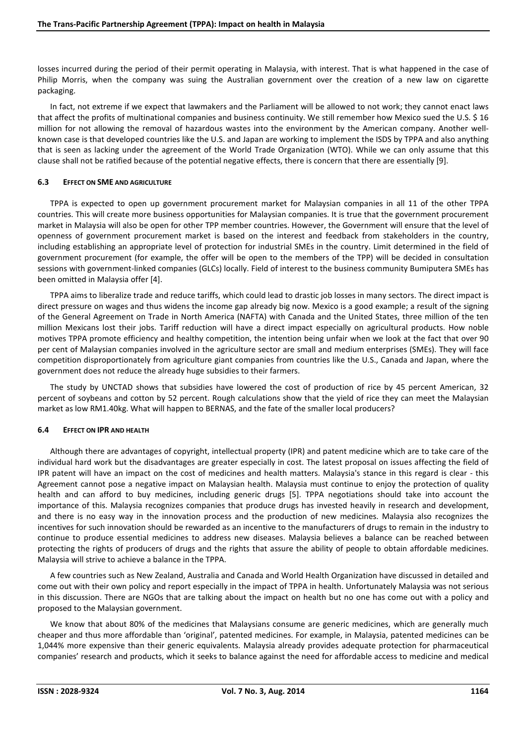losses incurred during the period of their permit operating in Malaysia, with interest. That is what happened in the case of Philip Morris, when the company was suing the Australian government over the creation of a new law on cigarette packaging.

In fact, not extreme if we expect that lawmakers and the Parliament will be allowed to not work; they cannot enact laws that affect the profits of multinational companies and business continuity. We still remember how Mexico sued the U.S. \$ 16 million for not allowing the removal of hazardous wastes into the environment by the American company. Another wellknown case is that developed countries like the U.S. and Japan are working to implement the ISDS by TPPA and also anything that is seen as lacking under the agreement of the World Trade Organization (WTO). While we can only assume that this clause shall not be ratified because of the potential negative effects, there is concern that there are essentially [9].

## **6.3 EFFECT ON SME AND AGRICULTURE**

TPPA is expected to open up government procurement market for Malaysian companies in all 11 of the other TPPA countries. This will create more business opportunities for Malaysian companies. It is true that the government procurement market in Malaysia will also be open for other TPP member countries. However, the Government will ensure that the level of openness of government procurement market is based on the interest and feedback from stakeholders in the country, including establishing an appropriate level of protection for industrial SMEs in the country. Limit determined in the field of government procurement (for example, the offer will be open to the members of the TPP) will be decided in consultation sessions with government-linked companies (GLCs) locally. Field of interest to the business community Bumiputera SMEs has been omitted in Malaysia offer [4].

TPPA aims to liberalize trade and reduce tariffs, which could lead to drastic job losses in many sectors. The direct impact is direct pressure on wages and thus widens the income gap already big now. Mexico is a good example; a result of the signing of the General Agreement on Trade in North America (NAFTA) with Canada and the United States, three million of the ten million Mexicans lost their jobs. Tariff reduction will have a direct impact especially on agricultural products. How noble motives TPPA promote efficiency and healthy competition, the intention being unfair when we look at the fact that over 90 per cent of Malaysian companies involved in the agriculture sector are small and medium enterprises (SMEs). They will face competition disproportionately from agriculture giant companies from countries like the U.S., Canada and Japan, where the government does not reduce the already huge subsidies to their farmers.

The study by UNCTAD shows that subsidies have lowered the cost of production of rice by 45 percent American, 32 percent of soybeans and cotton by 52 percent. Rough calculations show that the yield of rice they can meet the Malaysian market as low RM1.40kg. What will happen to BERNAS, and the fate of the smaller local producers?

#### **6.4 EFFECT ON IPR AND HEALTH**

Although there are advantages of copyright, intellectual property (IPR) and patent medicine which are to take care of the individual hard work but the disadvantages are greater especially in cost. The latest proposal on issues affecting the field of IPR patent will have an impact on the cost of medicines and health matters. Malaysia's stance in this regard is clear - this Agreement cannot pose a negative impact on Malaysian health. Malaysia must continue to enjoy the protection of quality health and can afford to buy medicines, including generic drugs [5]. TPPA negotiations should take into account the importance of this. Malaysia recognizes companies that produce drugs has invested heavily in research and development, and there is no easy way in the innovation process and the production of new medicines. Malaysia also recognizes the incentives for such innovation should be rewarded as an incentive to the manufacturers of drugs to remain in the industry to continue to produce essential medicines to address new diseases. Malaysia believes a balance can be reached between protecting the rights of producers of drugs and the rights that assure the ability of people to obtain affordable medicines. Malaysia will strive to achieve a balance in the TPPA.

A few countries such as New Zealand, Australia and Canada and World Health Organization have discussed in detailed and come out with their own policy and report especially in the impact of TPPA in health. Unfortunately Malaysia was not serious in this discussion. There are NGOs that are talking about the impact on health but no one has come out with a policy and proposed to the Malaysian government.

We know that about 80% of the medicines that Malaysians consume are generic medicines, which are generally much cheaper and thus more affordable than 'original', patented medicines. For example, in Malaysia, patented medicines can be 1,044% more expensive than their generic equivalents. Malaysia already provides adequate protection for pharmaceutical companies' research and products, which it seeks to balance against the need for affordable access to medicine and medical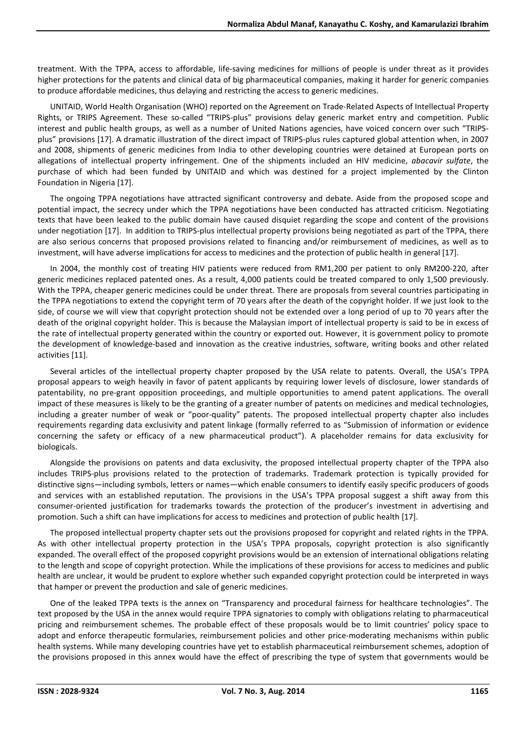treatment. With the TPPA, access to affordable, life-saving medicines for millions of people is under threat as it provides higher protections for the patents and clinical data of big pharmaceutical companies, making it harder for generic companies to produce affordable medicines, thus delaying and restricting the access to generic medicines.

UNITAID, World Health Organisation (WHO) reported on the Agreement on Trade-Related Aspects of Intellectual Property Rights, or TRIPS Agreement. These so-called "TRIPS-plus" provisions delay generic market entry and competition. Public interest and public health groups, as well as a number of United Nations agencies, have voiced concern over such "TRIPSplus" provisions [17]. A dramatic illustration of the direct impact of TRIPS-plus rules captured global attention when, in 2007 and 2008, shipments of generic medicines from India to other developing countries were detained at European ports on allegations of intellectual property infringement. One of the shipments included an HIV medicine, *abacavir sulfate*, the purchase of which had been funded by UNITAID and which was destined for a project implemented by the Clinton Foundation in Nigeria [17].

The ongoing TPPA negotiations have attracted significant controversy and debate. Aside from the proposed scope and potential impact, the secrecy under which the TPPA negotiations have been conducted has attracted criticism. Negotiating texts that have been leaked to the public domain have caused disquiet regarding the scope and content of the provisions under negotiation [17]. In addition to TRIPS-plus intellectual property provisions being negotiated as part of the TPPA, there are also serious concerns that proposed provisions related to financing and/or reimbursement of medicines, as well as to investment, will have adverse implications for access to medicines and the protection of public health in general [17].

In 2004, the monthly cost of treating HIV patients were reduced from RM1,200 per patient to only RM200-220, after generic medicines replaced patented ones. As a result, 4,000 patients could be treated compared to only 1,500 previously. With the TPPA, cheaper generic medicines could be under threat. There are proposals from several countries participating in the TPPA negotiations to extend the copyright term of 70 years after the death of the copyright holder. If we just look to the side, of course we will view that copyright protection should not be extended over a long period of up to 70 years after the death of the original copyright holder. This is because the Malaysian import of intellectual property is said to be in excess of the rate of intellectual property generated within the country or exported out. However, it is government policy to promote the development of knowledge-based and innovation as the creative industries, software, writing books and other related activities [11].

Several articles of the intellectual property chapter proposed by the USA relate to patents. Overall, the USA's TPPA proposal appears to weigh heavily in favor of patent applicants by requiring lower levels of disclosure, lower standards of patentability, no pre-grant opposition proceedings, and multiple opportunities to amend patent applications. The overall impact of these measures is likely to be the granting of a greater number of patents on medicines and medical technologies, including a greater number of weak or "poor-quality" patents. The proposed intellectual property chapter also includes requirements regarding data exclusivity and patent linkage (formally referred to as "Submission of information or evidence concerning the safety or efficacy of a new pharmaceutical product"). A placeholder remains for data exclusivity for biologicals.

Alongside the provisions on patents and data exclusivity, the proposed intellectual property chapter of the TPPA also includes TRIPS-plus provisions related to the protection of trademarks. Trademark protection is typically provided for distinctive signs—including symbols, letters or names—which enable consumers to identify easily specific producers of goods and services with an established reputation. The provisions in the USA's TPPA proposal suggest a shift away from this consumer-oriented justification for trademarks towards the protection of the producer's investment in advertising and promotion. Such a shift can have implications for access to medicines and protection of public health [17].

The proposed intellectual property chapter sets out the provisions proposed for copyright and related rights in the TPPA. As with other intellectual property protection in the USA's TPPA proposals, copyright protection is also significantly expanded. The overall effect of the proposed copyright provisions would be an extension of international obligations relating to the length and scope of copyright protection. While the implications of these provisions for access to medicines and public health are unclear, it would be prudent to explore whether such expanded copyright protection could be interpreted in ways that hamper or prevent the production and sale of generic medicines.

One of the leaked TPPA texts is the annex on "Transparency and procedural fairness for healthcare technologies". The text proposed by the USA in the annex would require TPPA signatories to comply with obligations relating to pharmaceutical pricing and reimbursement schemes. The probable effect of these proposals would be to limit countries' policy space to adopt and enforce therapeutic formularies, reimbursement policies and other price-moderating mechanisms within public health systems. While many developing countries have yet to establish pharmaceutical reimbursement schemes, adoption of the provisions proposed in this annex would have the effect of prescribing the type of system that governments would be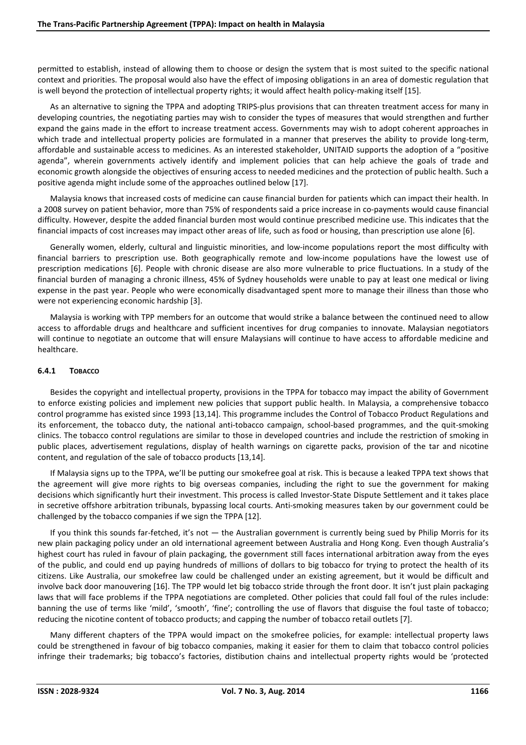permitted to establish, instead of allowing them to choose or design the system that is most suited to the specific national context and priorities. The proposal would also have the effect of imposing obligations in an area of domestic regulation that is well beyond the protection of intellectual property rights; it would affect health policy-making itself [15].

As an alternative to signing the TPPA and adopting TRIPS-plus provisions that can threaten treatment access for many in developing countries, the negotiating parties may wish to consider the types of measures that would strengthen and further expand the gains made in the effort to increase treatment access. Governments may wish to adopt coherent approaches in which trade and intellectual property policies are formulated in a manner that preserves the ability to provide long-term, affordable and sustainable access to medicines. As an interested stakeholder, UNITAID supports the adoption of a "positive agenda", wherein governments actively identify and implement policies that can help achieve the goals of trade and economic growth alongside the objectives of ensuring access to needed medicines and the protection of public health. Such a positive agenda might include some of the approaches outlined below [17].

Malaysia knows that increased costs of medicine can cause financial burden for patients which can impact their health. In a 2008 survey on patient behavior, more than 75% of respondents said a price increase in co-payments would cause financial difficulty. However, despite the added financial burden most would continue prescribed medicine use. This indicates that the financial impacts of cost increases may impact other areas of life, such as food or housing, than prescription use alone [6].

Generally women, elderly, cultural and linguistic minorities, and low-income populations report the most difficulty with financial barriers to prescription use. Both geographically remote and low-income populations have the lowest use of prescription medications [6]. People with chronic disease are also more vulnerable to price fluctuations. In a study of the financial burden of managing a chronic illness, 45% of Sydney households were unable to pay at least one medical or living expense in the past year. People who were economically disadvantaged spent more to manage their illness than those who were not experiencing economic hardship [3].

Malaysia is working with TPP members for an outcome that would strike a balance between the continued need to allow access to affordable drugs and healthcare and sufficient incentives for drug companies to innovate. Malaysian negotiators will continue to negotiate an outcome that will ensure Malaysians will continue to have access to affordable medicine and healthcare.

## **6.4.1 TOBACCO**

Besides the copyright and intellectual property, provisions in the TPPA for tobacco may impact the ability of Government to enforce existing policies and implement new policies that support public health. In Malaysia, a comprehensive tobacco control programme has existed since 1993 [13,14]. This programme includes the Control of Tobacco Product Regulations and its enforcement, the tobacco duty, the national anti-tobacco campaign, school-based programmes, and the quit-smoking clinics. The tobacco control regulations are similar to those in developed countries and include the restriction of smoking in public places, advertisement regulations, display of health warnings on cigarette packs, provision of the tar and nicotine content, and regulation of the sale of tobacco products [13,14].

If Malaysia signs up to the TPPA, we'll be putting our smokefree goal at risk. This is because a leaked TPPA text shows that the agreement will give more rights to big overseas companies, including the right to sue the government for making decisions which significantly hurt their investment. This process is called Investor-State Dispute Settlement and it takes place in secretive offshore arbitration tribunals, bypassing local courts. Anti-smoking measures taken by our government could be challenged by the tobacco companies if we sign the TPPA [12].

If you think this sounds far-fetched, it's not — the Australian government is currently being sued by Philip Morris for its new plain packaging policy under an old international agreement between Australia and Hong Kong. Even though Australia's highest court has ruled in favour of plain packaging, the government still faces international arbitration away from the eyes of the public, and could end up paying hundreds of millions of dollars to big tobacco for trying to protect the health of its citizens. Like Australia, our smokefree law could be challenged under an existing agreement, but it would be difficult and involve back door manouvering [16]. The TPP would let big tobacco stride through the front door. It isn't just plain packaging laws that will face problems if the TPPA negotiations are completed. Other policies that could fall foul of the rules include: banning the use of terms like 'mild', 'smooth', 'fine'; controlling the use of flavors that disguise the foul taste of tobacco; reducing the nicotine content of tobacco products; and capping the number of tobacco retail outlets [7].

Many different chapters of the TPPA would impact on the smokefree policies, for example: intellectual property laws could be strengthened in favour of big tobacco companies, making it easier for them to claim that tobacco control policies infringe their trademarks; big tobacco's factories, distibution chains and intellectual property rights would be 'protected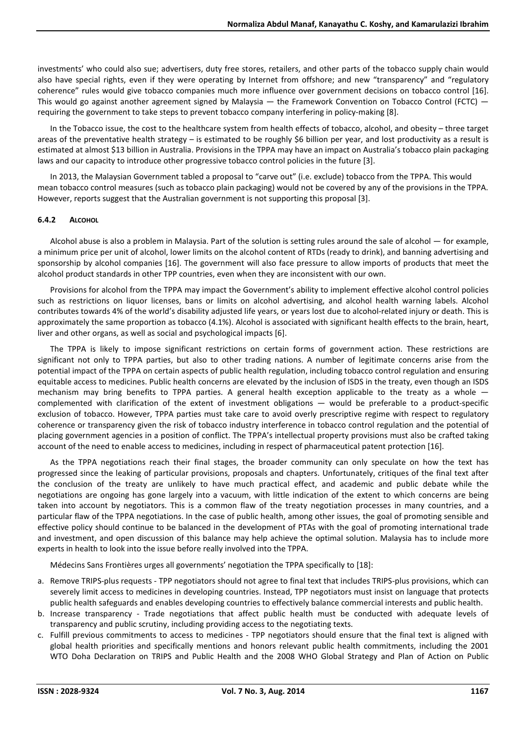investments' who could also sue; advertisers, duty free stores, retailers, and other parts of the tobacco supply chain would also have special rights, even if they were operating by Internet from offshore; and new "transparency" and "regulatory coherence" rules would give tobacco companies much more influence over government decisions on tobacco control [16]. This would go against another agreement signed by Malaysia  $-$  the Framework Convention on Tobacco Control (FCTC)  $$ requiring the government to take steps to prevent tobacco company interfering in policy-making [8].

In the Tobacco issue, the cost to the healthcare system from health effects of tobacco, alcohol, and obesity – three target areas of the preventative health strategy – is estimated to be roughly \$6 billion per year, and lost productivity as a result is estimated at almost \$13 billion in Australia. Provisions in the TPPA may have an impact on Australia's tobacco plain packaging laws and our capacity to introduce other progressive tobacco control policies in the future [3].

In 2013, the Malaysian Government tabled a proposal to "carve out" (i.e. exclude) tobacco from the TPPA. This would mean tobacco control measures (such as tobacco plain packaging) would not be covered by any of the provisions in the TPPA. However, reports suggest that the Australian government is not supporting this proposal [3].

#### **6.4.2 ALCOHOL**

Alcohol abuse is also a problem in Malaysia. Part of the solution is setting rules around the sale of alcohol — for example, a minimum price per unit of alcohol, lower limits on the alcohol content of RTDs (ready to drink), and banning advertising and sponsorship by alcohol companies [16]. The government will also face pressure to allow imports of products that meet the alcohol product standards in other TPP countries, even when they are inconsistent with our own.

Provisions for alcohol from the TPPA may impact the Government's ability to implement effective alcohol control policies such as restrictions on liquor licenses, bans or limits on alcohol advertising, and alcohol health warning labels. Alcohol contributes towards 4% of the world's disability adjusted life years, or years lost due to alcohol-related injury or death. This is approximately the same proportion as tobacco (4.1%). Alcohol is associated with significant health effects to the brain, heart, liver and other organs, as well as social and psychological impacts [6].

The TPPA is likely to impose significant restrictions on certain forms of government action. These restrictions are significant not only to TPPA parties, but also to other trading nations. A number of legitimate concerns arise from the potential impact of the TPPA on certain aspects of public health regulation, including tobacco control regulation and ensuring equitable access to medicines. Public health concerns are elevated by the inclusion of ISDS in the treaty, even though an ISDS mechanism may bring benefits to TPPA parties. A general health exception applicable to the treaty as a whole complemented with clarification of the extent of investment obligations — would be preferable to a product-specific exclusion of tobacco. However, TPPA parties must take care to avoid overly prescriptive regime with respect to regulatory coherence or transparency given the risk of tobacco industry interference in tobacco control regulation and the potential of placing government agencies in a position of conflict. The TPPA's intellectual property provisions must also be crafted taking account of the need to enable access to medicines, including in respect of pharmaceutical patent protection [16].

As the TPPA negotiations reach their final stages, the broader community can only speculate on how the text has progressed since the leaking of particular provisions, proposals and chapters. Unfortunately, critiques of the final text after the conclusion of the treaty are unlikely to have much practical effect, and academic and public debate while the negotiations are ongoing has gone largely into a vacuum, with little indication of the extent to which concerns are being taken into account by negotiators. This is a common flaw of the treaty negotiation processes in many countries, and a particular flaw of the TPPA negotiations. In the case of public health, among other issues, the goal of promoting sensible and effective policy should continue to be balanced in the development of PTAs with the goal of promoting international trade and investment, and open discussion of this balance may help achieve the optimal solution. Malaysia has to include more experts in health to look into the issue before really involved into the TPPA.

Médecins Sans Frontières urges all governments' negotiation the TPPA specifically to [18]:

- a. Remove TRIPS-plus requests TPP negotiators should not agree to final text that includes TRIPS-plus provisions, which can severely limit access to medicines in developing countries. Instead, TPP negotiators must insist on language that protects public health safeguards and enables developing countries to effectively balance commercial interests and public health.
- b. Increase transparency Trade negotiations that affect public health must be conducted with adequate levels of transparency and public scrutiny, including providing access to the negotiating texts.
- c. Fulfill previous commitments to access to medicines TPP negotiators should ensure that the final text is aligned with global health priorities and specifically mentions and honors relevant public health commitments, including the 2001 WTO Doha Declaration on TRIPS and Public Health and the 2008 WHO Global Strategy and Plan of Action on Public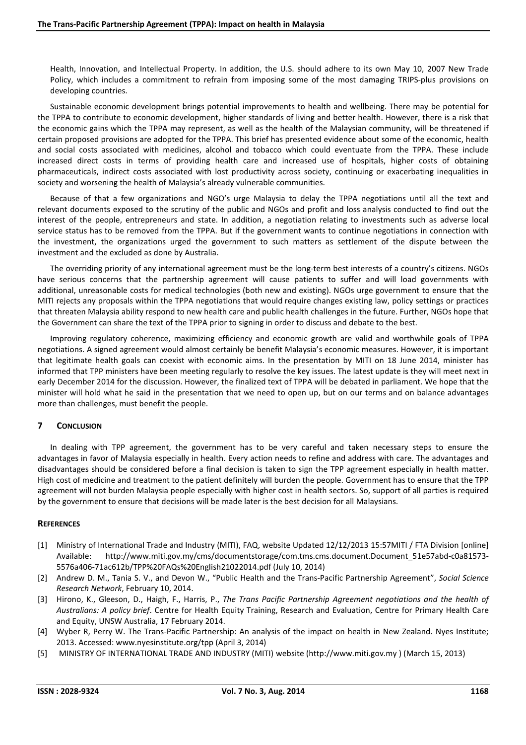Health, Innovation, and Intellectual Property. In addition, the U.S. should adhere to its own May 10, 2007 New Trade Policy, which includes a commitment to refrain from imposing some of the most damaging TRIPS-plus provisions on developing countries.

Sustainable economic development brings potential improvements to health and wellbeing. There may be potential for the TPPA to contribute to economic development, higher standards of living and better health. However, there is a risk that the economic gains which the TPPA may represent, as well as the health of the Malaysian community, will be threatened if certain proposed provisions are adopted for the TPPA. This brief has presented evidence about some of the economic, health and social costs associated with medicines, alcohol and tobacco which could eventuate from the TPPA. These include increased direct costs in terms of providing health care and increased use of hospitals, higher costs of obtaining pharmaceuticals, indirect costs associated with lost productivity across society, continuing or exacerbating inequalities in society and worsening the health of Malaysia's already vulnerable communities.

Because of that a few organizations and NGO's urge Malaysia to delay the TPPA negotiations until all the text and relevant documents exposed to the scrutiny of the public and NGOs and profit and loss analysis conducted to find out the interest of the people, entrepreneurs and state. In addition, a negotiation relating to investments such as adverse local service status has to be removed from the TPPA. But if the government wants to continue negotiations in connection with the investment, the organizations urged the government to such matters as settlement of the dispute between the investment and the excluded as done by Australia.

The overriding priority of any international agreement must be the long-term best interests of a country's citizens. NGOs have serious concerns that the partnership agreement will cause patients to suffer and will load governments with additional, unreasonable costs for medical technologies (both new and existing). NGOs urge government to ensure that the MITI rejects any proposals within the TPPA negotiations that would require changes existing law, policy settings or practices that threaten Malaysia ability respond to new health care and public health challenges in the future. Further, NGOs hope that the Government can share the text of the TPPA prior to signing in order to discuss and debate to the best.

Improving regulatory coherence, maximizing efficiency and economic growth are valid and worthwhile goals of TPPA negotiations. A signed agreement would almost certainly be benefit Malaysia's economic measures. However, it is important that legitimate health goals can coexist with economic aims. In the presentation by MITI on 18 June 2014, minister has informed that TPP ministers have been meeting regularly to resolve the key issues. The latest update is they will meet next in early December 2014 for the discussion. However, the finalized text of TPPA will be debated in parliament. We hope that the minister will hold what he said in the presentation that we need to open up, but on our terms and on balance advantages more than challenges, must benefit the people.

# **7 CONCLUSION**

In dealing with TPP agreement, the government has to be very careful and taken necessary steps to ensure the advantages in favor of Malaysia especially in health. Every action needs to refine and address with care. The advantages and disadvantages should be considered before a final decision is taken to sign the TPP agreement especially in health matter. High cost of medicine and treatment to the patient definitely will burden the people. Government has to ensure that the TPP agreement will not burden Malaysia people especially with higher cost in health sectors. So, support of all parties is required by the government to ensure that decisions will be made later is the best decision for all Malaysians.

# **REFERENCES**

- [1] Ministry of International Trade and Industry (MITI), FAQ, website Updated 12/12/2013 15:57MITI / FTA Division [online] Available: http://www.miti.gov.my/cms/documentstorage/com.tms.cms.document.Document\_51e57abd-c0a81573- 5576a406-71ac612b/TPP%20FAQs%20English21022014.pdf (July 10, 2014)
- [2] Andrew D. M., Tania S. V., and Devon W., "Public Health and the Trans-Pacific Partnership Agreement", *Social Science Research Network*, February 10, 2014.
- [3] Hirono, K., Gleeson, D., Haigh, F., Harris, P., *The Trans Pacific Partnership Agreement negotiations and the health of Australians: A policy brief*. Centre for Health Equity Training, Research and Evaluation, Centre for Primary Health Care and Equity, UNSW Australia, 17 February 2014.
- [4] Wyber R, Perry W. The Trans-Pacific Partnership: An analysis of the impact on health in New Zealand. Nyes Institute; 2013. Accessed: www.nyesinstitute.org/tpp (April 3, 2014)
- [5] MINISTRY OF INTERNATIONAL TRADE AND INDUSTRY (MITI) website (http://www.miti.gov.my ) (March 15, 2013)